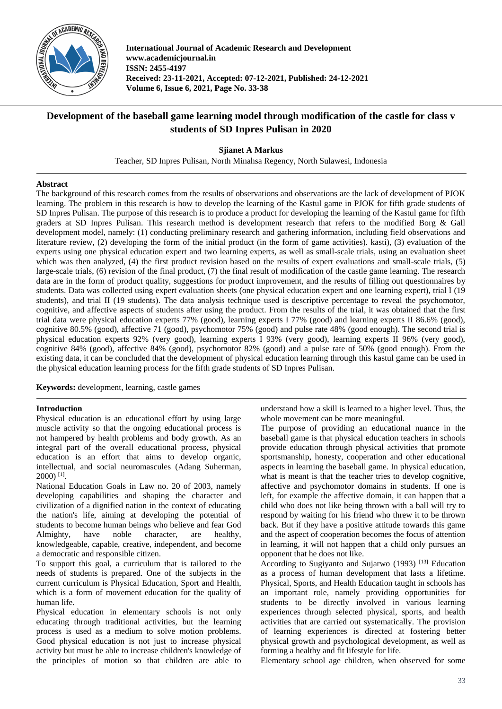

**International Journal of Academic Research and Development www.academicjournal.in ISSN: 2455-4197 Received: 23-11-2021, Accepted: 07-12-2021, Published: 24-12-2021 Volume 6, Issue 6, 2021, Page No. 33-38**

# **Development of the baseball game learning model through modification of the castle for class v students of SD Inpres Pulisan in 2020**

**Sjianet A Markus**

Teacher, SD Inpres Pulisan, North Minahsa Regency, North Sulawesi, Indonesia

# **Abstract**

The background of this research comes from the results of observations and observations are the lack of development of PJOK learning. The problem in this research is how to develop the learning of the Kastul game in PJOK for fifth grade students of SD Inpres Pulisan. The purpose of this research is to produce a product for developing the learning of the Kastul game for fifth graders at SD Inpres Pulisan. This research method is development research that refers to the modified Borg & Gall development model, namely: (1) conducting preliminary research and gathering information, including field observations and literature review, (2) developing the form of the initial product (in the form of game activities). kasti), (3) evaluation of the experts using one physical education expert and two learning experts, as well as small-scale trials, using an evaluation sheet which was then analyzed, (4) the first product revision based on the results of expert evaluations and small-scale trials, (5) large-scale trials, (6) revision of the final product, (7) the final result of modification of the castle game learning. The research data are in the form of product quality, suggestions for product improvement, and the results of filling out questionnaires by students. Data was collected using expert evaluation sheets (one physical education expert and one learning expert), trial I (19 students), and trial II (19 students). The data analysis technique used is descriptive percentage to reveal the psychomotor, cognitive, and affective aspects of students after using the product. From the results of the trial, it was obtained that the first trial data were physical education experts 77% (good), learning experts I 77% (good) and learning experts II 86.6% (good), cognitive 80.5% (good), affective 71 (good), psychomotor 75% (good) and pulse rate 48% (good enough). The second trial is physical education experts 92% (very good), learning experts I 93% (very good), learning experts II 96% (very good), cognitive 84% (good), affective 84% (good), psychomotor 82% (good) and a pulse rate of 50% (good enough). From the existing data, it can be concluded that the development of physical education learning through this kastul game can be used in the physical education learning process for the fifth grade students of SD Inpres Pulisan.

**Keywords:** development, learning, castle games

### **Introduction**

Physical education is an educational effort by using large muscle activity so that the ongoing educational process is not hampered by health problems and body growth. As an integral part of the overall educational process, physical education is an effort that aims to develop organic, intellectual, and social neuromascules (Adang Suherman, 2000) [1] .

National Education Goals in Law no. 20 of 2003, namely developing capabilities and shaping the character and civilization of a dignified nation in the context of educating the nation's life, aiming at developing the potential of students to become human beings who believe and fear God Almighty, have noble character, are healthy, knowledgeable, capable, creative, independent, and become a democratic and responsible citizen.

To support this goal, a curriculum that is tailored to the needs of students is prepared. One of the subjects in the current curriculum is Physical Education, Sport and Health, which is a form of movement education for the quality of human life.

Physical education in elementary schools is not only educating through traditional activities, but the learning process is used as a medium to solve motion problems. Good physical education is not just to increase physical activity but must be able to increase children's knowledge of the principles of motion so that children are able to understand how a skill is learned to a higher level. Thus, the whole movement can be more meaningful.

The purpose of providing an educational nuance in the baseball game is that physical education teachers in schools provide education through physical activities that promote sportsmanship, honesty, cooperation and other educational aspects in learning the baseball game. In physical education, what is meant is that the teacher tries to develop cognitive, affective and psychomotor domains in students. If one is left, for example the affective domain, it can happen that a child who does not like being thrown with a ball will try to respond by waiting for his friend who threw it to be thrown back. But if they have a positive attitude towards this game and the aspect of cooperation becomes the focus of attention in learning, it will not happen that a child only pursues an opponent that he does not like.

According to Sugiyanto and Sujarwo (1993) [13] Education as a process of human development that lasts a lifetime. Physical, Sports, and Health Education taught in schools has an important role, namely providing opportunities for students to be directly involved in various learning experiences through selected physical, sports, and health activities that are carried out systematically. The provision of learning experiences is directed at fostering better physical growth and psychological development, as well as forming a healthy and fit lifestyle for life.

Elementary school age children, when observed for some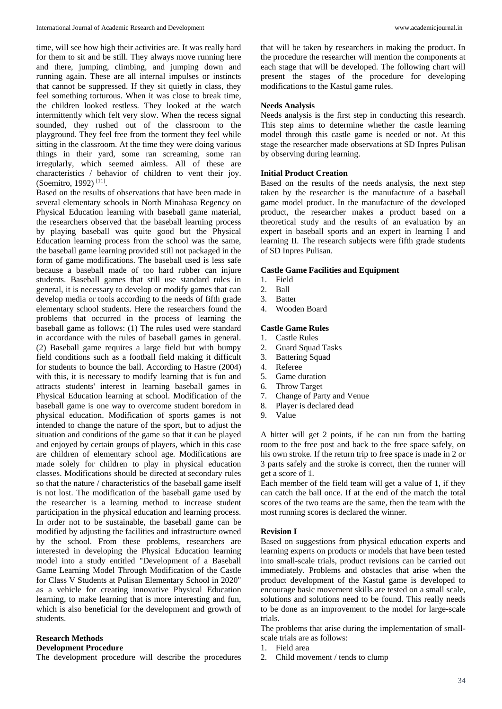time, will see how high their activities are. It was really hard for them to sit and be still. They always move running here and there, jumping, climbing, and jumping down and running again. These are all internal impulses or instincts that cannot be suppressed. If they sit quietly in class, they feel something torturous. When it was close to break time, the children looked restless. They looked at the watch intermittently which felt very slow. When the recess signal sounded, they rushed out of the classroom to the playground. They feel free from the torment they feel while sitting in the classroom. At the time they were doing various things in their yard, some ran screaming, some ran irregularly, which seemed aimless. All of these are characteristics / behavior of children to vent their joy. (Soemitro, 1992)<sup>[11]</sup>.

Based on the results of observations that have been made in several elementary schools in North Minahasa Regency on Physical Education learning with baseball game material, the researchers observed that the baseball learning process by playing baseball was quite good but the Physical Education learning process from the school was the same, the baseball game learning provided still not packaged in the form of game modifications. The baseball used is less safe because a baseball made of too hard rubber can injure students. Baseball games that still use standard rules in general, it is necessary to develop or modify games that can develop media or tools according to the needs of fifth grade elementary school students. Here the researchers found the problems that occurred in the process of learning the baseball game as follows: (1) The rules used were standard in accordance with the rules of baseball games in general. (2) Baseball game requires a large field but with bumpy field conditions such as a football field making it difficult for students to bounce the ball. According to Hastre (2004) with this, it is necessary to modify learning that is fun and attracts students' interest in learning baseball games in Physical Education learning at school. Modification of the baseball game is one way to overcome student boredom in physical education. Modification of sports games is not intended to change the nature of the sport, but to adjust the situation and conditions of the game so that it can be played and enjoyed by certain groups of players, which in this case are children of elementary school age. Modifications are made solely for children to play in physical education classes. Modifications should be directed at secondary rules so that the nature / characteristics of the baseball game itself is not lost. The modification of the baseball game used by the researcher is a learning method to increase student participation in the physical education and learning process. In order not to be sustainable, the baseball game can be modified by adjusting the facilities and infrastructure owned by the school. From these problems, researchers are interested in developing the Physical Education learning model into a study entitled "Development of a Baseball Game Learning Model Through Modification of the Castle for Class V Students at Pulisan Elementary School in 2020" as a vehicle for creating innovative Physical Education learning, to make learning that is more interesting and fun, which is also beneficial for the development and growth of students.

### **Research Methods**

#### **Development Procedure**

The development procedure will describe the procedures

that will be taken by researchers in making the product. In the procedure the researcher will mention the components at each stage that will be developed. The following chart will present the stages of the procedure for developing modifications to the Kastul game rules.

### **Needs Analysis**

Needs analysis is the first step in conducting this research. This step aims to determine whether the castle learning model through this castle game is needed or not. At this stage the researcher made observations at SD Inpres Pulisan by observing during learning.

### **Initial Product Creation**

Based on the results of the needs analysis, the next step taken by the researcher is the manufacture of a baseball game model product. In the manufacture of the developed product, the researcher makes a product based on a theoretical study and the results of an evaluation by an expert in baseball sports and an expert in learning I and learning II. The research subjects were fifth grade students of SD Inpres Pulisan.

#### **Castle Game Facilities and Equipment**

- 1. Field
- 2. Ball
- 3. Batter
- 4. Wooden Board

#### **Castle Game Rules**

- 1. Castle Rules
- 2. Guard Squad Tasks
- 3. Battering Squad
- 4. Referee
- 5. Game duration
- 6. Throw Target
- 7. Change of Party and Venue
- 8. Player is declared dead
- 9. Value

A hitter will get 2 points, if he can run from the batting room to the free post and back to the free space safely, on his own stroke. If the return trip to free space is made in 2 or 3 parts safely and the stroke is correct, then the runner will get a score of 1.

Each member of the field team will get a value of 1, if they can catch the ball once. If at the end of the match the total scores of the two teams are the same, then the team with the most running scores is declared the winner.

#### **Revision I**

Based on suggestions from physical education experts and learning experts on products or models that have been tested into small-scale trials, product revisions can be carried out immediately. Problems and obstacles that arise when the product development of the Kastul game is developed to encourage basic movement skills are tested on a small scale, solutions and solutions need to be found. This really needs to be done as an improvement to the model for large-scale trials.

The problems that arise during the implementation of smallscale trials are as follows:

- 1. Field area
- 2. Child movement / tends to clump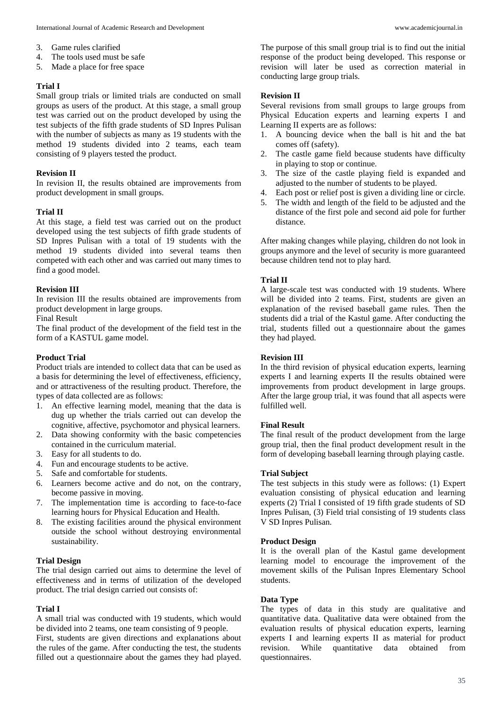- 3. Game rules clarified
- 4. The tools used must be safe
- 5. Made a place for free space

### **Trial I**

Small group trials or limited trials are conducted on small groups as users of the product. At this stage, a small group test was carried out on the product developed by using the test subjects of the fifth grade students of SD Inpres Pulisan with the number of subjects as many as 19 students with the method 19 students divided into 2 teams, each team consisting of 9 players tested the product.

### **Revision II**

In revision II, the results obtained are improvements from product development in small groups.

### **Trial II**

At this stage, a field test was carried out on the product developed using the test subjects of fifth grade students of SD Inpres Pulisan with a total of 19 students with the method 19 students divided into several teams then competed with each other and was carried out many times to find a good model.

### **Revision III**

In revision III the results obtained are improvements from product development in large groups.

Final Result

The final product of the development of the field test in the form of a KASTUL game model.

### **Product Trial**

Product trials are intended to collect data that can be used as a basis for determining the level of effectiveness, efficiency, and or attractiveness of the resulting product. Therefore, the types of data collected are as follows:

- 1. An effective learning model, meaning that the data is dug up whether the trials carried out can develop the cognitive, affective, psychomotor and physical learners.
- 2. Data showing conformity with the basic competencies contained in the curriculum material.
- 3. Easy for all students to do.
- 4. Fun and encourage students to be active.
- 5. Safe and comfortable for students.
- 6. Learners become active and do not, on the contrary, become passive in moving.
- 7. The implementation time is according to face-to-face learning hours for Physical Education and Health.
- 8. The existing facilities around the physical environment outside the school without destroying environmental sustainability.

### **Trial Design**

The trial design carried out aims to determine the level of effectiveness and in terms of utilization of the developed product. The trial design carried out consists of:

### **Trial I**

A small trial was conducted with 19 students, which would be divided into 2 teams, one team consisting of 9 people. First, students are given directions and explanations about the rules of the game. After conducting the test, the students filled out a questionnaire about the games they had played.

The purpose of this small group trial is to find out the initial response of the product being developed. This response or revision will later be used as correction material in conducting large group trials.

### **Revision II**

Several revisions from small groups to large groups from Physical Education experts and learning experts I and Learning II experts are as follows:

- 1. A bouncing device when the ball is hit and the bat comes off (safety).
- 2. The castle game field because students have difficulty in playing to stop or continue.
- 3. The size of the castle playing field is expanded and adjusted to the number of students to be played.
- 4. Each post or relief post is given a dividing line or circle.
- 5. The width and length of the field to be adjusted and the distance of the first pole and second aid pole for further distance.

After making changes while playing, children do not look in groups anymore and the level of security is more guaranteed because children tend not to play hard.

### **Trial II**

A large-scale test was conducted with 19 students. Where will be divided into 2 teams. First, students are given an explanation of the revised baseball game rules. Then the students did a trial of the Kastul game. After conducting the trial, students filled out a questionnaire about the games they had played.

### **Revision III**

In the third revision of physical education experts, learning experts I and learning experts II the results obtained were improvements from product development in large groups. After the large group trial, it was found that all aspects were fulfilled well.

### **Final Result**

The final result of the product development from the large group trial, then the final product development result in the form of developing baseball learning through playing castle.

### **Trial Subject**

The test subjects in this study were as follows: (1) Expert evaluation consisting of physical education and learning experts (2) Trial I consisted of 19 fifth grade students of SD Inpres Pulisan, (3) Field trial consisting of 19 students class V SD Inpres Pulisan.

### **Product Design**

It is the overall plan of the Kastul game development learning model to encourage the improvement of the movement skills of the Pulisan Inpres Elementary School students.

### **Data Type**

The types of data in this study are qualitative and quantitative data. Qualitative data were obtained from the evaluation results of physical education experts, learning experts I and learning experts II as material for product revision. While quantitative data obtained from questionnaires.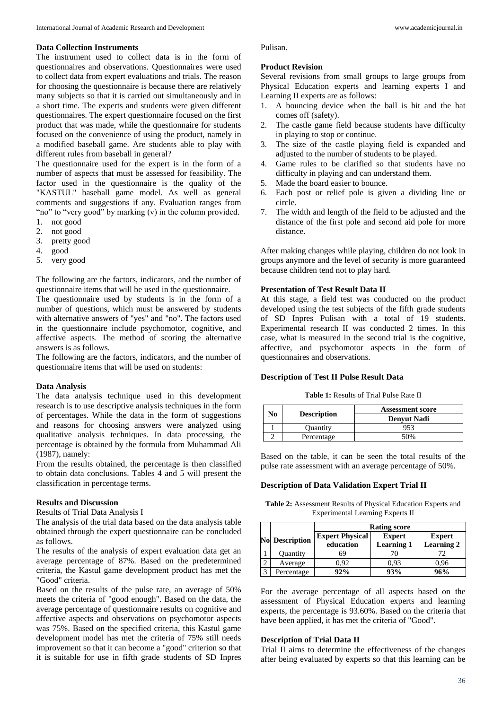#### **Data Collection Instruments**

The instrument used to collect data is in the form of questionnaires and observations. Questionnaires were used to collect data from expert evaluations and trials. The reason for choosing the questionnaire is because there are relatively many subjects so that it is carried out simultaneously and in a short time. The experts and students were given different questionnaires. The expert questionnaire focused on the first product that was made, while the questionnaire for students focused on the convenience of using the product, namely in a modified baseball game. Are students able to play with different rules from baseball in general?

The questionnaire used for the expert is in the form of a number of aspects that must be assessed for feasibility. The factor used in the questionnaire is the quality of the "KASTUL" baseball game model. As well as general comments and suggestions if any. Evaluation ranges from "no" to "very good" by marking (v) in the column provided.

- 1. not good
- 2. not good
- 3. pretty good
- 4. good
- 5. very good

The following are the factors, indicators, and the number of questionnaire items that will be used in the questionnaire.

The questionnaire used by students is in the form of a number of questions, which must be answered by students with alternative answers of "yes" and "no". The factors used in the questionnaire include psychomotor, cognitive, and affective aspects. The method of scoring the alternative answers is as follows.

The following are the factors, indicators, and the number of questionnaire items that will be used on students:

#### **Data Analysis**

The data analysis technique used in this development research is to use descriptive analysis techniques in the form of percentages. While the data in the form of suggestions and reasons for choosing answers were analyzed using qualitative analysis techniques. In data processing, the percentage is obtained by the formula from Muhammad Ali (1987), namely:

From the results obtained, the percentage is then classified to obtain data conclusions. Tables 4 and 5 will present the classification in percentage terms.

#### **Results and Discussion**

Results of Trial Data Analysis I

The analysis of the trial data based on the data analysis table obtained through the expert questionnaire can be concluded as follows.

The results of the analysis of expert evaluation data get an average percentage of 87%. Based on the predetermined criteria, the Kastul game development product has met the "Good" criteria.

Based on the results of the pulse rate, an average of 50% meets the criteria of "good enough". Based on the data, the average percentage of questionnaire results on cognitive and affective aspects and observations on psychomotor aspects was 75%. Based on the specified criteria, this Kastul game development model has met the criteria of 75% still needs improvement so that it can become a "good" criterion so that it is suitable for use in fifth grade students of SD Inpres

Pulisan.

#### **Product Revision**

Several revisions from small groups to large groups from Physical Education experts and learning experts I and Learning II experts are as follows:

- 1. A bouncing device when the ball is hit and the bat comes off (safety).
- 2. The castle game field because students have difficulty in playing to stop or continue.
- 3. The size of the castle playing field is expanded and adjusted to the number of students to be played.
- 4. Game rules to be clarified so that students have no difficulty in playing and can understand them.
- 5. Made the board easier to bounce.
- 6. Each post or relief pole is given a dividing line or circle.
- 7. The width and length of the field to be adjusted and the distance of the first pole and second aid pole for more distance.

After making changes while playing, children do not look in groups anymore and the level of security is more guaranteed because children tend not to play hard.

### **Presentation of Test Result Data II**

At this stage, a field test was conducted on the product developed using the test subjects of the fifth grade students of SD Inpres Pulisan with a total of 19 students. Experimental research II was conducted 2 times. In this case, what is measured in the second trial is the cognitive, affective, and psychomotor aspects in the form of questionnaires and observations.

#### **Description of Test II Pulse Result Data**

**Table 1:** Results of Trial Pulse Rate II

|    |                    | <b>Assessment score</b> |  |
|----|--------------------|-------------------------|--|
| No | <b>Description</b> | <b>Denvut Nadi</b>      |  |
|    | <b>Quantity</b>    | 953                     |  |
|    | Percentage         | 50%                     |  |

Based on the table, it can be seen the total results of the pulse rate assessment with an average percentage of 50%.

### **Description of Data Validation Expert Trial II**

**Table 2:** Assessment Results of Physical Education Experts and Experimental Learning Experts II

|                |                       | <b>Rating score</b>    |                   |                   |
|----------------|-----------------------|------------------------|-------------------|-------------------|
|                | <b>No Description</b> | <b>Expert Physical</b> | <b>Expert</b>     | <b>Expert</b>     |
|                |                       | education              | <b>Learning 1</b> | <b>Learning 2</b> |
|                | <b>Ouantity</b>       | 69                     |                   |                   |
| ◠              | Average               | 1.92                   | 0.93              | 0.96              |
| $\overline{a}$ | Percentage            | 92%                    | 93%               | 96%               |

For the average percentage of all aspects based on the assessment of Physical Education experts and learning experts, the percentage is 93.60%. Based on the criteria that have been applied, it has met the criteria of "Good".

### **Description of Trial Data II**

Trial II aims to determine the effectiveness of the changes after being evaluated by experts so that this learning can be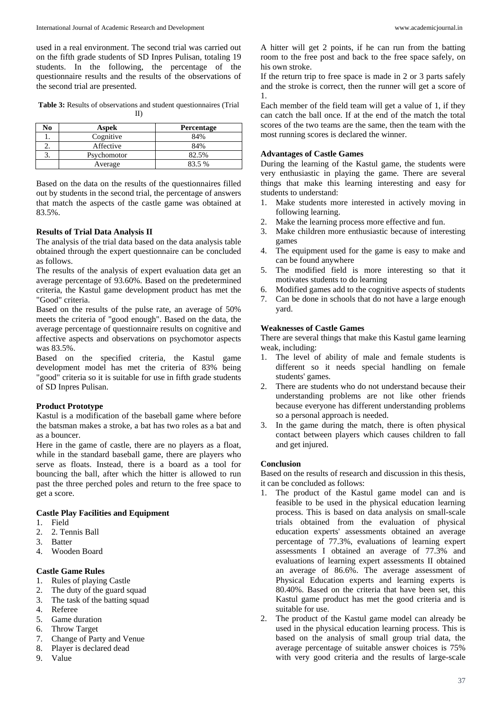used in a real environment. The second trial was carried out on the fifth grade students of SD Inpres Pulisan, totaling 19 students. In the following, the percentage of the questionnaire results and the results of the observations of the second trial are presented.

**Table 3:** Results of observations and student questionnaires (Trial II)

| No | Aspek       | <b>Percentage</b> |
|----|-------------|-------------------|
|    | Cognitive   | 84%               |
|    | Affective   | 84%               |
| C. | Psychomotor | 82.5%             |
|    | Average     | 83.5%             |

Based on the data on the results of the questionnaires filled out by students in the second trial, the percentage of answers that match the aspects of the castle game was obtained at 83.5%.

### **Results of Trial Data Analysis II**

The analysis of the trial data based on the data analysis table obtained through the expert questionnaire can be concluded as follows.

The results of the analysis of expert evaluation data get an average percentage of 93.60%. Based on the predetermined criteria, the Kastul game development product has met the "Good" criteria.

Based on the results of the pulse rate, an average of 50% meets the criteria of "good enough". Based on the data, the average percentage of questionnaire results on cognitive and affective aspects and observations on psychomotor aspects was 83.5%.

Based on the specified criteria, the Kastul game development model has met the criteria of 83% being "good" criteria so it is suitable for use in fifth grade students of SD Inpres Pulisan.

# **Product Prototype**

Kastul is a modification of the baseball game where before the batsman makes a stroke, a bat has two roles as a bat and as a bouncer.

Here in the game of castle, there are no players as a float, while in the standard baseball game, there are players who serve as floats. Instead, there is a board as a tool for bouncing the ball, after which the hitter is allowed to run past the three perched poles and return to the free space to get a score.

# **Castle Play Facilities and Equipment**

- 1. Field
- 2. 2. Tennis Ball
- 3. Batter
- 4. Wooden Board

# **Castle Game Rules**

- 1. Rules of playing Castle
- 2. The duty of the guard squad
- 3. The task of the batting squad
- 4. Referee
- 5. Game duration<br>6. Throw Target
- 6. Throw Target
- Change of Party and Venue
- 8. Player is declared dead 9. Value

A hitter will get 2 points, if he can run from the batting room to the free post and back to the free space safely, on his own stroke.

If the return trip to free space is made in 2 or 3 parts safely and the stroke is correct, then the runner will get a score of 1.

Each member of the field team will get a value of 1, if they can catch the ball once. If at the end of the match the total scores of the two teams are the same, then the team with the most running scores is declared the winner.

# **Advantages of Castle Games**

During the learning of the Kastul game, the students were very enthusiastic in playing the game. There are several things that make this learning interesting and easy for students to understand:

- 1. Make students more interested in actively moving in following learning.
- 2. Make the learning process more effective and fun.
- 3. Make children more enthusiastic because of interesting games
- 4. The equipment used for the game is easy to make and can be found anywhere
- 5. The modified field is more interesting so that it motivates students to do learning
- 6. Modified games add to the cognitive aspects of students
- 7. Can be done in schools that do not have a large enough yard.

# **Weaknesses of Castle Games**

There are several things that make this Kastul game learning weak, including:

- 1. The level of ability of male and female students is different so it needs special handling on female students' games.
- 2. There are students who do not understand because their understanding problems are not like other friends because everyone has different understanding problems so a personal approach is needed.
- 3. In the game during the match, there is often physical contact between players which causes children to fall and get injured.

# **Conclusion**

Based on the results of research and discussion in this thesis, it can be concluded as follows:

- 1. The product of the Kastul game model can and is feasible to be used in the physical education learning process. This is based on data analysis on small-scale trials obtained from the evaluation of physical education experts' assessments obtained an average percentage of 77.3%, evaluations of learning expert assessments I obtained an average of 77.3% and evaluations of learning expert assessments II obtained an average of 86.6%. The average assessment of Physical Education experts and learning experts is 80.40%. Based on the criteria that have been set, this Kastul game product has met the good criteria and is suitable for use.
- 2. The product of the Kastul game model can already be used in the physical education learning process. This is based on the analysis of small group trial data, the average percentage of suitable answer choices is 75% with very good criteria and the results of large-scale